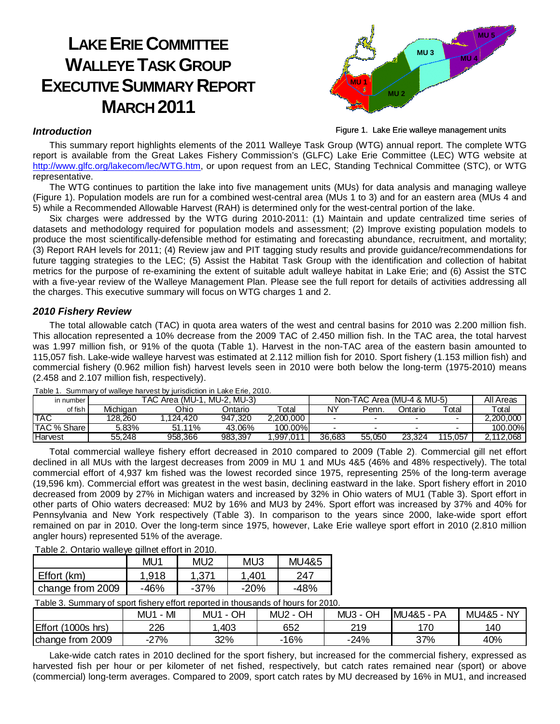# **LAKE ERIE COMMITTEE WALLEYE TASK GROUP EXECUTIVE SUMMARY REPORT MARCH 2011**



Figure 1. Lake Erie walleye management units

### **Introduction**

This summary report highlights elements of the 2011 Walleye Task Group (WTG) annual report. The complete WTG report is available from the Great Lakes Fishery Commission's (GLFC) Lake Erie Committee (LEC) WTG website at http://www.glfc.org/lakecom/lec/WTG.htm, or upon request from an LEC, Standing Technical Committee (STC), or WTG representative.

The WTG continues to partition the lake into five management units (MUs) for data analysis and managing walleye (Figure 1). Population models are run for a combined west-central area (MUs 1 to 3) and for an eastern area (MUs 4 and 5) while a Recommended Allowable Harvest (RAH) is determined only for the west-central portion of the lake.

Six charges were addressed by the WTG during 2010-2011: (1) Maintain and update centralized time series of datasets and methodology required for population models and assessment; (2) Improve existing population models to produce the most scientifically-defensible method for estimating and forecasting abundance, recruitment, and mortality; (3) Report RAH levels for 2011; (4) Review jaw and PIT tagging study results and provide guidance/recommendations for future tagging strategies to the LEC; (5) Assist the Habitat Task Group with the identification and collection of habitat metrics for the purpose of re-examining the extent of suitable adult walleye habitat in Lake Erie; and (6) Assist the STC with a five-year review of the Walleye Management Plan. Please see the full report for details of activities addressing all the charges. This executive summary will focus on WTG charges 1 and 2.

## **2010 Fishery Review**

The total allowable catch (TAC) in quota area waters of the west and central basins for 2010 was 2.200 million fish. This allocation represented a 10% decrease from the 2009 TAC of 2.450 million fish. In the TAC area, the total harvest was 1.997 million fish, or 91% of the quota (Table 1). Harvest in the non-TAC area of the eastern basin amounted to 115,057 fish. Lake-wide walleye harvest was estimated at 2.112 million fish for 2010. Sport fishery (1.153 million fish) and commercial fishery (0.962 million fish) harvest levels seen in 2010 were both below the long-term (1975-2010) means (2.458 and 2.107 million fish, respectively).

| in number   | TAC Area (MU-1.<br>MU-2. MU-3) |          |         |           | Non-TAC Area (MU-4 & MU-5) |        |         |         | All Areas |
|-------------|--------------------------------|----------|---------|-----------|----------------------------|--------|---------|---------|-----------|
| of fish     | Michigan                       | Ohio     | Ontario | Total     | N٧                         | Penn.  | )ntario | ⊤otal   | ⊤otal     |
| <b>TAC</b>  | 128.260                        | .124.420 | 947.320 | 2.200.000 |                            |        |         |         | 2.200.000 |
| TAC % Share | 5.83%                          | 51.11%   | 43.06%  | 100.00%   |                            |        |         |         | 100.00%   |
| Harvest     | 55.248                         | 958.366  | 983.397 | .997.011  | 36.683                     | 55.050 | 23.324  | 115.057 | .112.068  |

Table 1. Summary of walleye harvest by jurisdiction in Lake Erie, 2010.

Total commercial walleye fishery effort decreased in 2010 compared to 2009 (Table 2). Commercial gill net effort declined in all MUs with the largest decreases from 2009 in MU 1 and MUs 4&5 (46% and 48% respectively). The total commercial effort of 4,937 km fished was the lowest recorded since 1975, representing 25% of the long-term average (19,596 km). Commercial effort was greatest in the west basin, declining eastward in the lake. Sport fishery effort in 2010 decreased from 2009 by 27% in Michigan waters and increased by 32% in Ohio waters of MU1 (Table 3). Sport effort in other parts of Ohio waters decreased: MU2 by 16% and MU3 by 24%. Sport effort was increased by 37% and 40% for Pennsylvania and New York respectively (Table 3). In comparison to the years since 2000, lake-wide sport effort remained on par in 2010. Over the long-term since 1975, however, Lake Erie walleye sport effort in 2010 (2.810 million angler hours) represented 51% of the average.

Table 2. Ontario walleye gillnet effort in 2010.

|                  | MU1   | MU <sub>2</sub> | MU <sub>3</sub>    | <b>MU4&amp;5</b> |
|------------------|-------|-----------------|--------------------|------------------|
| Effort (km)      | 1.918 | 1.371           | 1.401 <sup>-</sup> | 247              |
| change from 2009 | -46%  | $-37%$          | $-20%$             | -48%             |

| Table 3. Summary of sport fishery effort reported in thousands of hours for 2010. |
|-----------------------------------------------------------------------------------|
|-----------------------------------------------------------------------------------|

|                         | M<br>MU | OН<br>MU1 - | OH<br>MU <sub>2</sub><br>$\overline{\phantom{a}}$ | OН<br>MU3 | <b>PA</b><br><b>MU</b><br>J4&5 - | <b>NY</b><br>MU4&5 - |
|-------------------------|---------|-------------|---------------------------------------------------|-----------|----------------------------------|----------------------|
| Effort<br>1000s<br>hrs) | 226     | 403         | 652                                               | 219       | 170                              | 140                  |
| 2009<br>trom<br>Ichange | $-27%$  | 32%         | 16%                                               | $-24%$    | 37%                              | 40%                  |

Lake-wide catch rates in 2010 declined for the sport fishery, but increased for the commercial fishery, expressed as harvested fish per hour or per kilometer of net fished, respectively, but catch rates remained near (sport) or above (commercial) long-term averages. Compared to 2009, sport catch rates by MU decreased by 16% in MU1, and increased